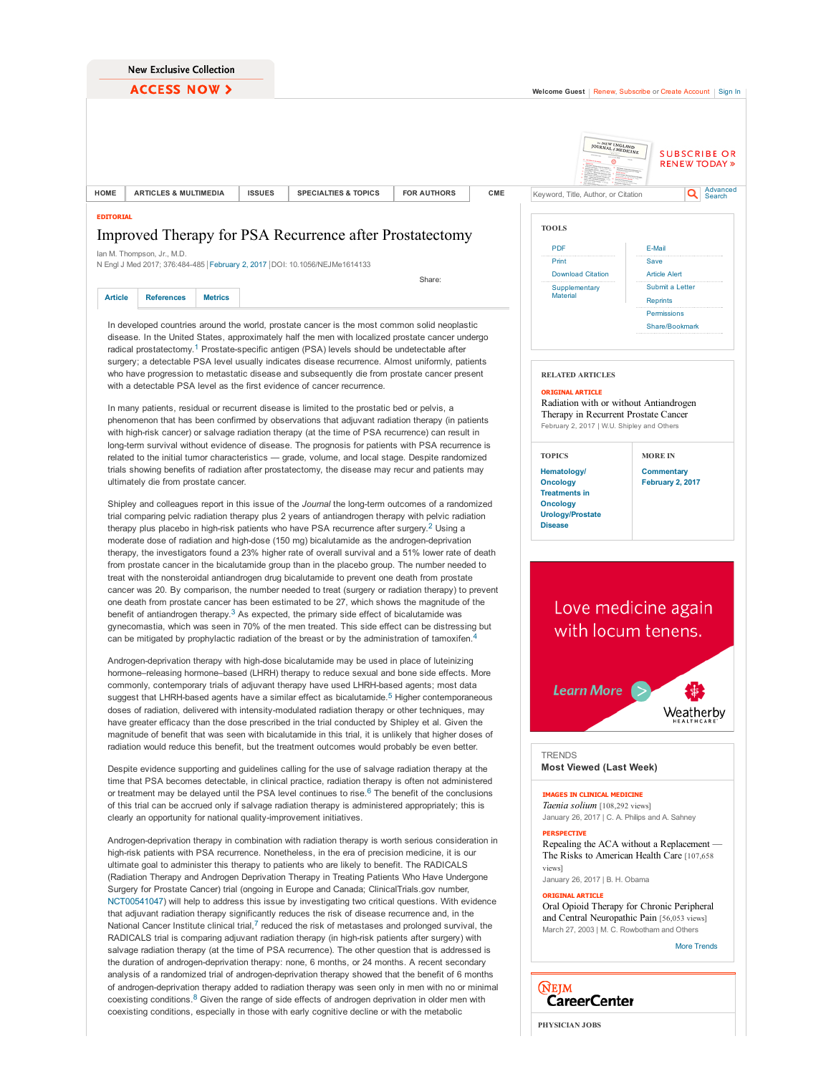**ACCESS NOW >**